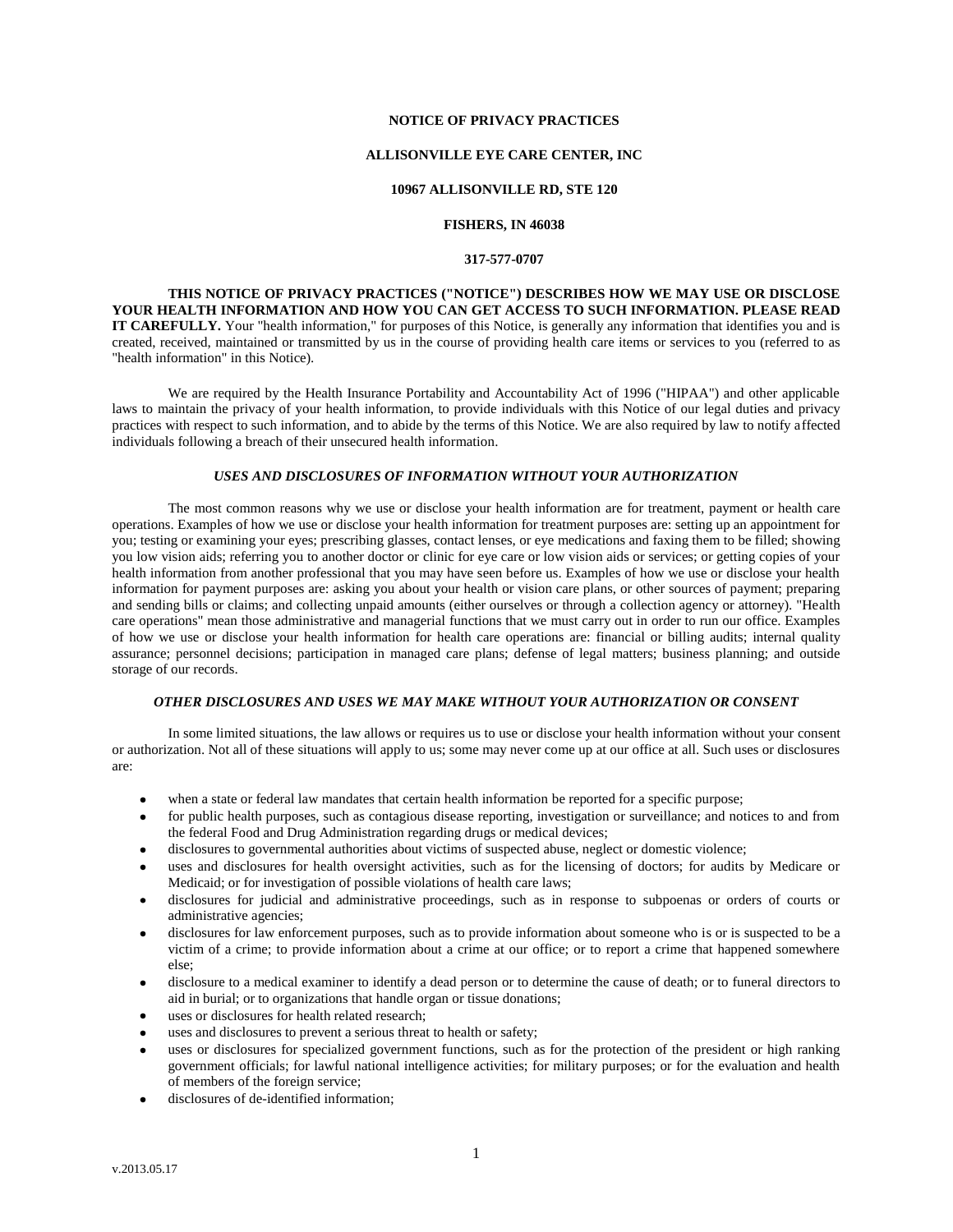# **NOTICE OF PRIVACY PRACTICES**

### **ALLISONVILLE EYE CARE CENTER, INC**

## **10967 ALLISONVILLE RD, STE 120**

#### **FISHERS, IN 46038**

#### **317-577-0707**

**THIS NOTICE OF PRIVACY PRACTICES ("NOTICE") DESCRIBES HOW WE MAY USE OR DISCLOSE YOUR HEALTH INFORMATION AND HOW YOU CAN GET ACCESS TO SUCH INFORMATION. PLEASE READ IT CAREFULLY.** Your "health information," for purposes of this Notice, is generally any information that identifies you and is created, received, maintained or transmitted by us in the course of providing health care items or services to you (referred to as "health information" in this Notice).

We are required by the Health Insurance Portability and Accountability Act of 1996 ("HIPAA") and other applicable laws to maintain the privacy of your health information, to provide individuals with this Notice of our legal duties and privacy practices with respect to such information, and to abide by the terms of this Notice. We are also required by law to notify affected individuals following a breach of their unsecured health information.

#### *USES AND DISCLOSURES OF INFORMATION WITHOUT YOUR AUTHORIZATION*

The most common reasons why we use or disclose your health information are for treatment, payment or health care operations. Examples of how we use or disclose your health information for treatment purposes are: setting up an appointment for you; testing or examining your eyes; prescribing glasses, contact lenses, or eye medications and faxing them to be filled; showing you low vision aids; referring you to another doctor or clinic for eye care or low vision aids or services; or getting copies of your health information from another professional that you may have seen before us. Examples of how we use or disclose your health information for payment purposes are: asking you about your health or vision care plans, or other sources of payment; preparing and sending bills or claims; and collecting unpaid amounts (either ourselves or through a collection agency or attorney). "Health care operations" mean those administrative and managerial functions that we must carry out in order to run our office. Examples of how we use or disclose your health information for health care operations are: financial or billing audits; internal quality assurance; personnel decisions; participation in managed care plans; defense of legal matters; business planning; and outside storage of our records.

#### *OTHER DISCLOSURES AND USES WE MAY MAKE WITHOUT YOUR AUTHORIZATION OR CONSENT*

In some limited situations, the law allows or requires us to use or disclose your health information without your consent or authorization. Not all of these situations will apply to us; some may never come up at our office at all. Such uses or disclosures are:

- when a state or federal law mandates that certain health information be reported for a specific purpose;
- for public health purposes, such as contagious disease reporting, investigation or surveillance; and notices to and from the federal Food and Drug Administration regarding drugs or medical devices;
- disclosures to governmental authorities about victims of suspected abuse, neglect or domestic violence;
- uses and disclosures for health oversight activities, such as for the licensing of doctors; for audits by Medicare or Medicaid; or for investigation of possible violations of health care laws;
- disclosures for judicial and administrative proceedings, such as in response to subpoenas or orders of courts or administrative agencies;
- disclosures for law enforcement purposes, such as to provide information about someone who is or is suspected to be a victim of a crime; to provide information about a crime at our office; or to report a crime that happened somewhere else;
- disclosure to a medical examiner to identify a dead person or to determine the cause of death; or to funeral directors to aid in burial; or to organizations that handle organ or tissue donations;
- uses or disclosures for health related research;
- uses and disclosures to prevent a serious threat to health or safety;
- uses or disclosures for specialized government functions, such as for the protection of the president or high ranking government officials; for lawful national intelligence activities; for military purposes; or for the evaluation and health of members of the foreign service;
- disclosures of de-identified information;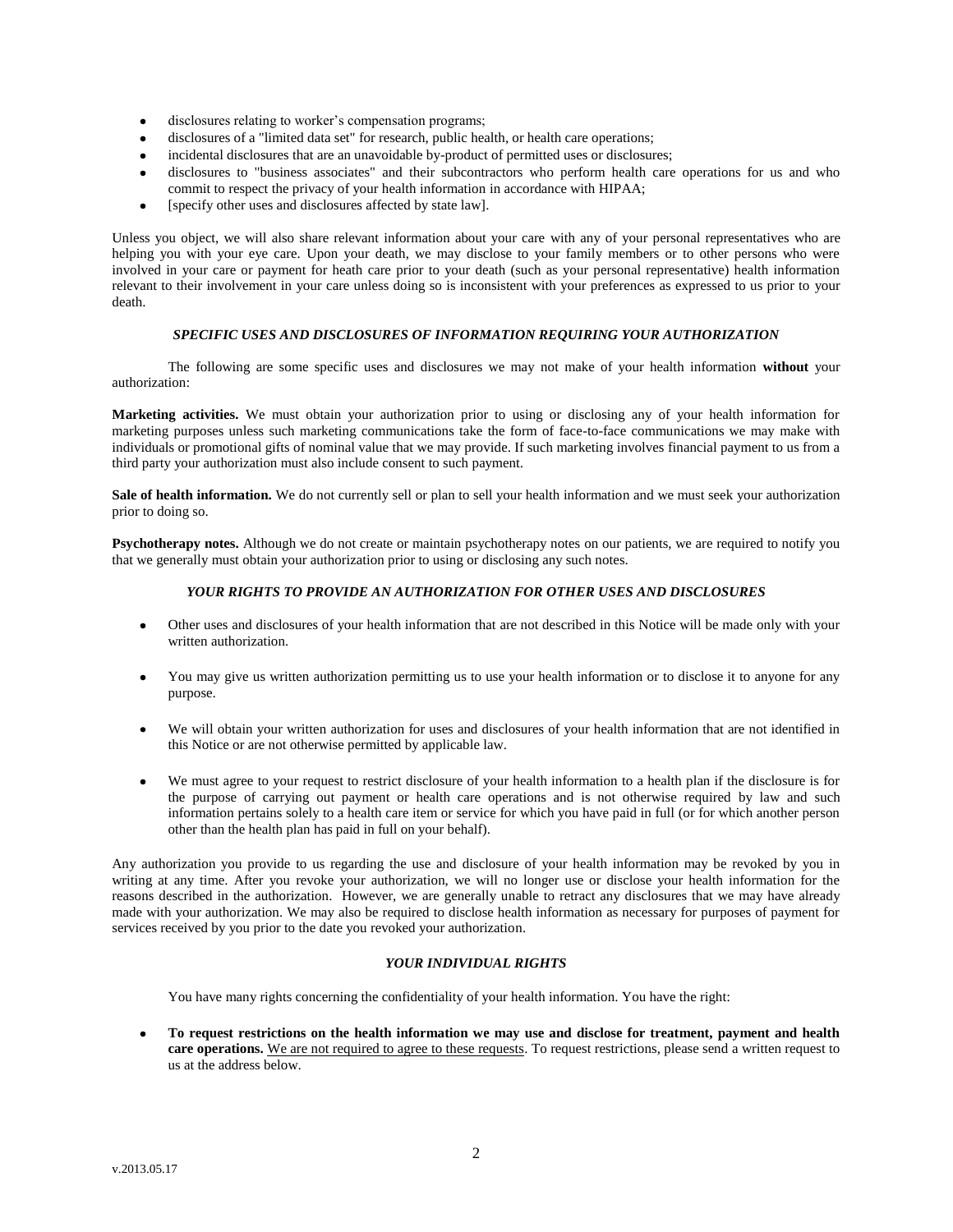- disclosures relating to worker's compensation programs;  $\bullet$
- disclosures of a "limited data set" for research, public health, or health care operations;
- incidental disclosures that are an unavoidable by-product of permitted uses or disclosures;  $\bullet$
- disclosures to "business associates" and their subcontractors who perform health care operations for us and who commit to respect the privacy of your health information in accordance with HIPAA;
- [specify other uses and disclosures affected by state law].  $\bullet$

Unless you object, we will also share relevant information about your care with any of your personal representatives who are helping you with your eye care. Upon your death, we may disclose to your family members or to other persons who were involved in your care or payment for heath care prior to your death (such as your personal representative) health information relevant to their involvement in your care unless doing so is inconsistent with your preferences as expressed to us prior to your death.

### *SPECIFIC USES AND DISCLOSURES OF INFORMATION REQUIRING YOUR AUTHORIZATION*

The following are some specific uses and disclosures we may not make of your health information **without** your authorization:

**Marketing activities.** We must obtain your authorization prior to using or disclosing any of your health information for marketing purposes unless such marketing communications take the form of face-to-face communications we may make with individuals or promotional gifts of nominal value that we may provide. If such marketing involves financial payment to us from a third party your authorization must also include consent to such payment.

Sale of health information. We do not currently sell or plan to sell your health information and we must seek your authorization prior to doing so.

**Psychotherapy notes.** Although we do not create or maintain psychotherapy notes on our patients, we are required to notify you that we generally must obtain your authorization prior to using or disclosing any such notes.

#### *YOUR RIGHTS TO PROVIDE AN AUTHORIZATION FOR OTHER USES AND DISCLOSURES*

- Other uses and disclosures of your health information that are not described in this Notice will be made only with your  $\bullet$ written authorization.
- You may give us written authorization permitting us to use your health information or to disclose it to anyone for any purpose.
- We will obtain your written authorization for uses and disclosures of your health information that are not identified in  $\bullet$ this Notice or are not otherwise permitted by applicable law.
- We must agree to your request to restrict disclosure of your health information to a health plan if the disclosure is for  $\bullet$ the purpose of carrying out payment or health care operations and is not otherwise required by law and such information pertains solely to a health care item or service for which you have paid in full (or for which another person other than the health plan has paid in full on your behalf).

Any authorization you provide to us regarding the use and disclosure of your health information may be revoked by you in writing at any time. After you revoke your authorization, we will no longer use or disclose your health information for the reasons described in the authorization. However, we are generally unable to retract any disclosures that we may have already made with your authorization. We may also be required to disclose health information as necessary for purposes of payment for services received by you prior to the date you revoked your authorization.

## *YOUR INDIVIDUAL RIGHTS*

You have many rights concerning the confidentiality of your health information. You have the right:

**To request restrictions on the health information we may use and disclose for treatment, payment and health care operations.** We are not required to agree to these requests. To request restrictions, please send a written request to us at the address below.